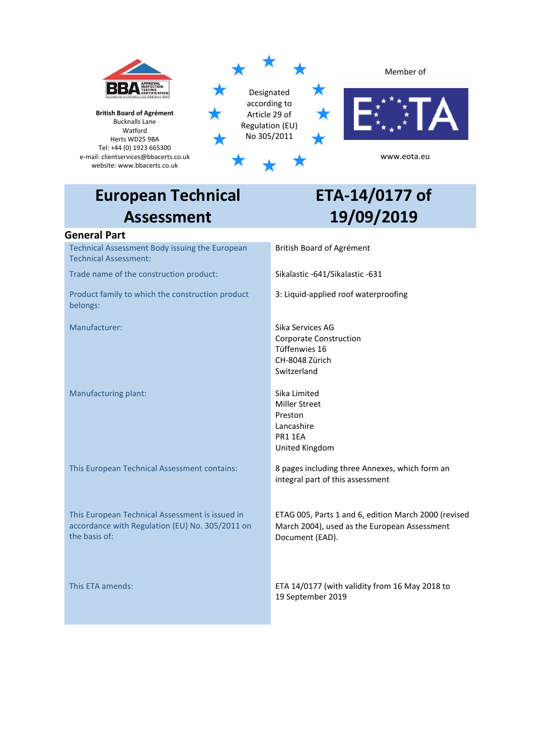

# **European Technical Assessment**

# **ETA-14/0177 of 19/09/2019**

## **General Part**

Technical Assessment Body issuing the European Technical Assessment:

Trade name of the construction product: Sikalastic -641/Sikalastic -631

Product family to which the construction product belongs:

Manufacturing plant: Sika Limited

This European Technical Assessment is issued in accordance with Regulation (EU) No. 305/2011 on the basis of:

British Board of Agrément

3: Liquid-applied roof waterproofing

Manufacturer: Sika Services AG Corporate Construction Tüffenwies 16 CH-8048 Zürich Switzerland

> Miller Street Preston Lancashire PR1 1EA United Kingdom

This European Technical Assessment contains: 8 pages including three Annexes, which form an integral part of this assessment

> ETAG 005, Parts 1 and 6, edition March 2000 (revised March 2004), used as the European Assessment Document (EAD).

This ETA amends: ETA 14/0177 (with validity from 16 May 2018 to 19 September 2019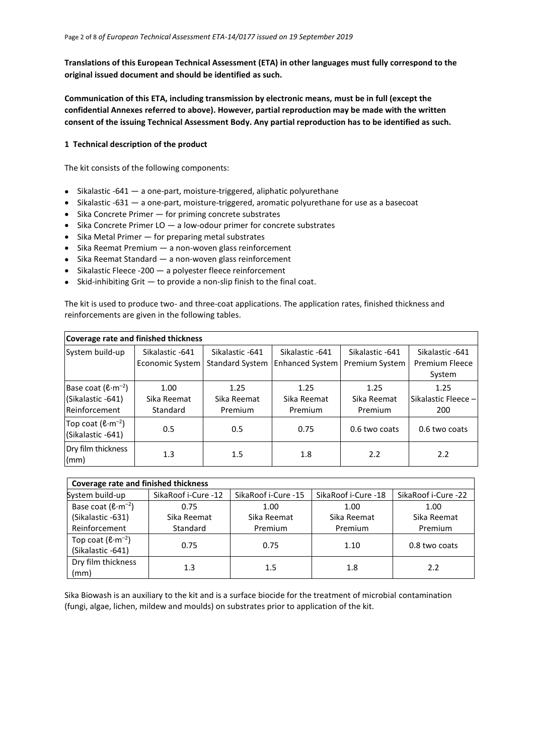**Translations of this European Technical Assessment (ETA) in other languages must fully correspond to the original issued document and should be identified as such.**

**Communication of this ETA, including transmission by electronic means, must be in full (except the confidential Annexes referred to above). However, partial reproduction may be made with the written consent of the issuing Technical Assessment Body. Any partial reproduction has to be identified as such.**

#### **1 Technical description of the product**

The kit consists of the following components:

- Sikalastic -641 a one-part, moisture-triggered, aliphatic polyurethane
- Sikalastic -631 a one-part, moisture-triggered, aromatic polyurethane for use as a basecoat
- Sika Concrete Primer for priming concrete substrates
- Sika Concrete Primer LO a low-odour primer for concrete substrates
- Sika Metal Primer for preparing metal substrates
- Sika Reemat Premium a non-woven glass reinforcement
- Sika Reemat Standard a non-woven glass reinforcement
- Sikalastic Fleece -200 a polyester fleece reinforcement
- Skid-inhibiting Grit to provide a non-slip finish to the final coat.

The kit is used to produce two- and three-coat applications. The application rates, finished thickness and reinforcements are given in the following tables.

|                                                                       | Coverage rate and finished thickness      |                                           |                                    |                                          |                                                    |
|-----------------------------------------------------------------------|-------------------------------------------|-------------------------------------------|------------------------------------|------------------------------------------|----------------------------------------------------|
| System build-up                                                       | Sikalastic -641<br><b>Economic System</b> | Sikalastic -641<br><b>Standard System</b> | Sikalastic -641<br>Enhanced System | Sikalastic -641<br><b>Premium System</b> | Sikalastic -641<br><b>Premium Fleece</b><br>System |
| Base coat $(\ell \cdot m^{-2})$<br>(Sikalastic -641)<br>Reinforcement | 1.00<br>Sika Reemat<br>Standard           | 1.25<br>Sika Reemat<br>Premium            | 1.25<br>Sika Reemat<br>Premium     | 1.25<br>Sika Reemat<br>Premium           | 1.25<br>Sikalastic Fleece -<br>200                 |
| Top coat $(\ell \cdot m^{-2})$<br>(Sikalastic -641)                   | 0.5                                       | 0.5                                       | 0.75                               | 0.6 two coats                            | 0.6 two coats                                      |
| Dry film thickness<br>(mm)                                            | $1.3\,$                                   | 1.5                                       | 1.8                                | 2.2                                      | 2.2                                                |

| <b>Coverage rate and finished thickness</b>         |                     |                     |                     |                     |
|-----------------------------------------------------|---------------------|---------------------|---------------------|---------------------|
| System build-up                                     | SikaRoof i-Cure -12 | SikaRoof i-Cure -15 | SikaRoof i-Cure -18 | SikaRoof i-Cure -22 |
| Base coat $(\ell \cdot m^{-2})$                     | 0.75                | 1.00                | 1.00                | 1.00                |
| (Sikalastic -631)                                   | Sika Reemat         | Sika Reemat         | Sika Reemat         | Sika Reemat         |
| Reinforcement                                       | Standard            | Premium             | Premium             | Premium             |
| Top coat $(\ell \cdot m^{-2})$<br>(Sikalastic -641) | 0.75                | 0.75                | 1.10                | 0.8 two coats       |
| Dry film thickness<br>(mm)                          | 1.3                 | $1.5\,$             | 1.8                 | 2.2                 |

Sika Biowash is an auxiliary to the kit and is a surface biocide for the treatment of microbial contamination (fungi, algae, lichen, mildew and moulds) on substrates prior to application of the kit.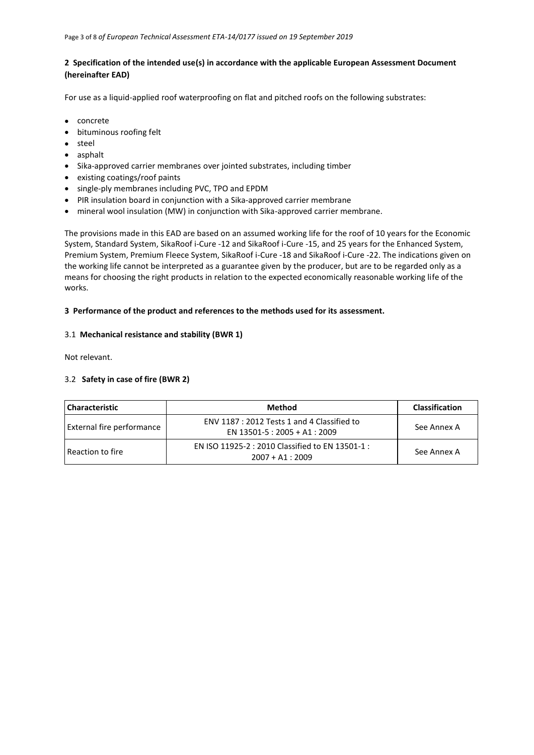#### **2 Specification of the intended use(s) in accordance with the applicable European Assessment Document (hereinafter EAD)**

For use as a liquid-applied roof waterproofing on flat and pitched roofs on the following substrates:

- concrete
- bituminous roofing felt
- steel
- asphalt
- Sika-approved carrier membranes over jointed substrates, including timber
- existing coatings/roof paints
- single-ply membranes including PVC, TPO and EPDM
- PIR insulation board in conjunction with a Sika-approved carrier membrane
- mineral wool insulation (MW) in conjunction with Sika-approved carrier membrane.

The provisions made in this EAD are based on an assumed working life for the roof of 10 years for the Economic System, Standard System, SikaRoof i-Cure -12 and SikaRoof i-Cure -15, and 25 years for the Enhanced System, Premium System, Premium Fleece System, SikaRoof i-Cure -18 and SikaRoof i-Cure -22. The indications given on the working life cannot be interpreted as a guarantee given by the producer, but are to be regarded only as a means for choosing the right products in relation to the expected economically reasonable working life of the works.

## **3 Performance of the product and references to the methods used for its assessment.**

## 3.1 **Mechanical resistance and stability (BWR 1)**

Not relevant.

## 3.2 **Safety in case of fire (BWR 2)**

| <b>Characteristic</b>     | Method                                                                       | <b>Classification</b> |
|---------------------------|------------------------------------------------------------------------------|-----------------------|
| External fire performance | ENV 1187 : 2012 Tests 1 and 4 Classified to<br>EN 13501-5 : 2005 + A1 : 2009 | See Annex A           |
| Reaction to fire          | EN ISO 11925-2 : 2010 Classified to EN 13501-1 :<br>$2007 + A1:2009$         | See Annex A           |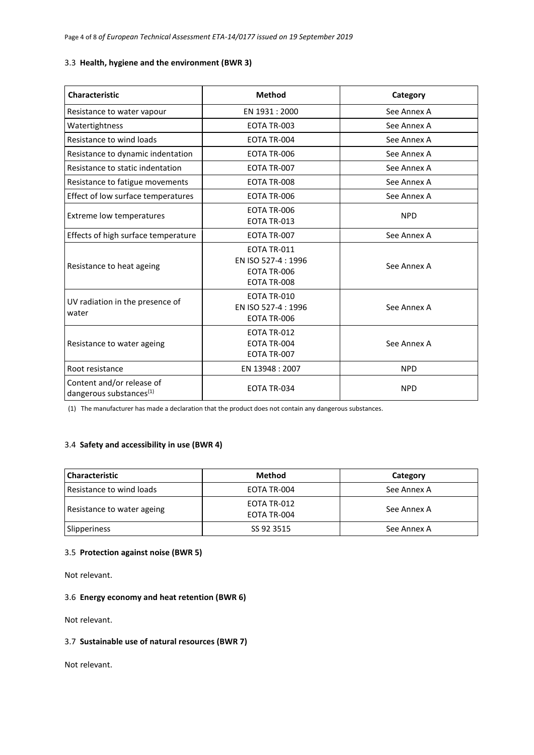#### 3.3 **Health, hygiene and the environment (BWR 3)**

| <b>Characteristic</b>                                   | <b>Method</b>                                                    | Category    |
|---------------------------------------------------------|------------------------------------------------------------------|-------------|
| Resistance to water vapour                              | EN 1931 : 2000                                                   | See Annex A |
| Watertightness                                          | EOTA TR-003                                                      | See Annex A |
| Resistance to wind loads                                | EOTA TR-004                                                      | See Annex A |
| Resistance to dynamic indentation                       | EOTA TR-006                                                      | See Annex A |
| Resistance to static indentation                        | EOTA TR-007                                                      | See Annex A |
| Resistance to fatigue movements                         | EOTA TR-008                                                      | See Annex A |
| Effect of low surface temperatures                      | EOTA TR-006                                                      | See Annex A |
| Extreme low temperatures                                | EOTA TR-006<br>EOTA TR-013                                       | <b>NPD</b>  |
| Effects of high surface temperature                     | EOTA TR-007                                                      | See Annex A |
| Resistance to heat ageing                               | EOTA TR-011<br>EN ISO 527-4 : 1996<br>EOTA TR-006<br>EOTA TR-008 | See Annex A |
| UV radiation in the presence of<br>water                | EOTA TR-010<br>EN ISO 527-4:1996<br>EOTA TR-006                  | See Annex A |
| Resistance to water ageing                              | EOTA TR-012<br>EOTA TR-004<br>EOTA TR-007                        | See Annex A |
| Root resistance                                         | EN 13948 : 2007                                                  | <b>NPD</b>  |
| Content and/or release of<br>dangerous substances $(1)$ | EOTA TR-034                                                      | <b>NPD</b>  |

(1) The manufacturer has made a declaration that the product does not contain any dangerous substances.

#### 3.4 **Safety and accessibility in use (BWR 4)**

| <b>Characteristic</b>      | <b>Method</b>              | Category    |
|----------------------------|----------------------------|-------------|
| Resistance to wind loads   | EOTA TR-004                | See Annex A |
| Resistance to water ageing | EOTA TR-012<br>EOTA TR-004 | See Annex A |
| Slipperiness               | SS 92 3515                 | See Annex A |

## 3.5 **Protection against noise (BWR 5)**

Not relevant.

#### 3.6 **Energy economy and heat retention (BWR 6)**

Not relevant.

## 3.7 **Sustainable use of natural resources (BWR 7)**

Not relevant.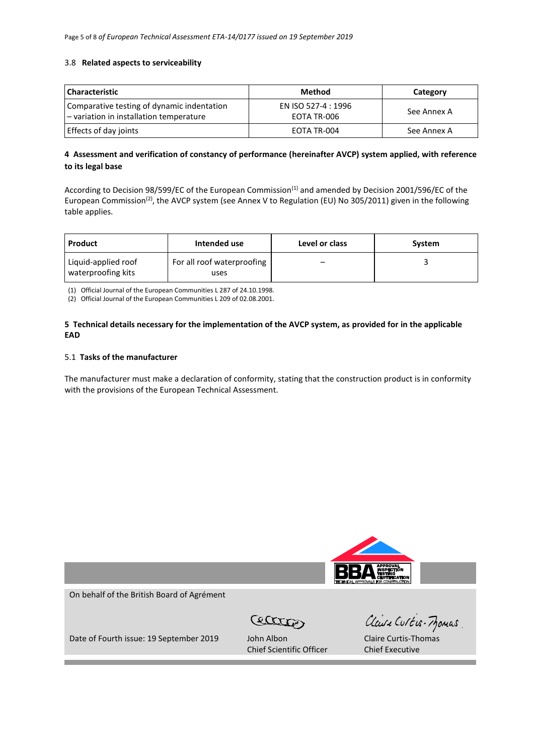#### 3.8 **Related aspects to serviceability**

| <b>Characteristic</b>                                                                 | <b>Method</b>                      | Category    |
|---------------------------------------------------------------------------------------|------------------------------------|-------------|
| Comparative testing of dynamic indentation<br>- variation in installation temperature | EN ISO 527-4 : 1996<br>EOTA TR-006 | See Annex A |
| Effects of day joints                                                                 | EOTA TR-004                        | See Annex A |

## **4 Assessment and verification of constancy of performance (hereinafter AVCP) system applied, with reference to its legal base**

According to Decision 98/599/EC of the European Commission<sup>(1)</sup> and amended by Decision 2001/596/EC of the European Commission<sup>(2)</sup>, the AVCP system (see Annex V to Regulation (EU) No 305/2011) given in the following table applies.

| Product                                   | Intended use                       | Level or class | System |
|-------------------------------------------|------------------------------------|----------------|--------|
| Liquid-applied roof<br>waterproofing kits | For all roof waterproofing<br>uses | -              |        |

(1) Official Journal of the European Communities L 287 of 24.10.1998.

(2) Official Journal of the European Communities L 209 of 02.08.2001.

#### **5 Technical details necessary for the implementation of the AVCP system, as provided for in the applicable EAD**

#### 5.1 **Tasks of the manufacturer**

The manufacturer must make a declaration of conformity, stating that the construction product is in conformity with the provisions of the European Technical Assessment.

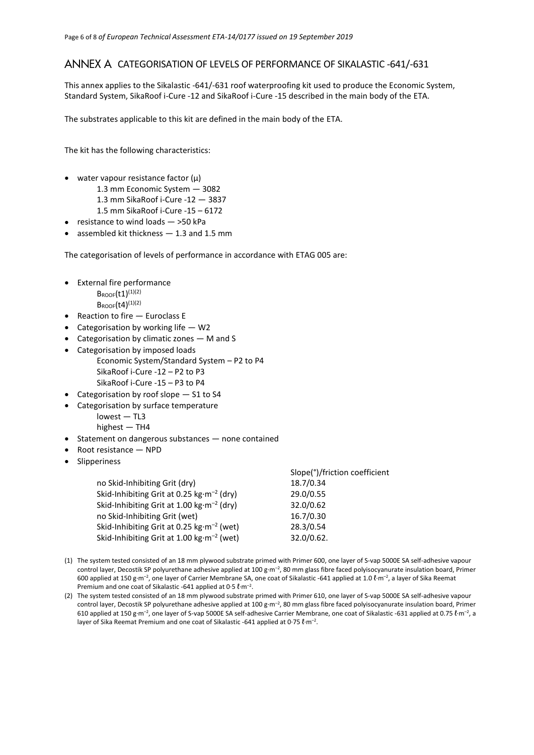# ANNEX A CATEGORISATION OF LEVELS OF PERFORMANCE OF SIKALASTIC -641/-631

This annex applies to the Sikalastic -641/-631 roof waterproofing kit used to produce the Economic System, Standard System, SikaRoof i-Cure -12 and SikaRoof i-Cure -15 described in the main body of the ETA.

The substrates applicable to this kit are defined in the main body of the ETA.

The kit has the following characteristics:

- water vapour resistance factor  $(\mu)$ 
	- 1.3 mm Economic System 3082
		- 1.3 mm SikaRoof i-Cure -12 3837
	- 1.5 mm SikaRoof i-Cure -15 6172
- resistance to wind loads >50 kPa
- assembled kit thickness  $-$  1.3 and 1.5 mm

The categorisation of levels of performance in accordance with ETAG 005 are:

- External fire performance
	- $B_{ROOF}(t1)^{(1)(2)}$
	- $B_{\text{ROOF}}(t4)^{(1)(2)}$
- Reaction to fire Euroclass E
- Categorisation by working life  $-$  W2
- Categorisation by climatic zones M and S
- Categorisation by imposed loads
	- Economic System/Standard System P2 to P4 SikaRoof i-Cure -12 – P2 to P3 SikaRoof i-Cure -15 – P3 to P4
- Categorisation by roof slope S1 to S4
- Categorisation by surface temperature lowest — TL3 highest — TH4
- Statement on dangerous substances none contained
- Root resistance NPD
- Slipperiness

|                                                       | Slope(°)/friction coefficient |
|-------------------------------------------------------|-------------------------------|
| no Skid-Inhibiting Grit (dry)                         | 18.7/0.34                     |
| Skid-Inhibiting Grit at 0.25 $kg·m-2$ (dry)           | 29.0/0.55                     |
| Skid-Inhibiting Grit at 1.00 kg·m <sup>-2</sup> (dry) | 32.0/0.62                     |
| no Skid-Inhibiting Grit (wet)                         | 16.7/0.30                     |
| Skid-Inhibiting Grit at 0.25 kg·m <sup>-2</sup> (wet) | 28.3/0.54                     |
| Skid-Inhibiting Grit at 1.00 $kg·m-2$ (wet)           | 32.0/0.62.                    |

- (1) The system tested consisted of an 18 mm plywood substrate primed with Primer 600, one layer of S-vap 5000E SA self-adhesive vapour control layer, Decostik SP polyurethane adhesive applied at 100 g·m<sup>-2</sup>, 80 mm glass fibre faced polyisocyanurate insulation board, Primer 600 applied at 150 g·m<sup>-2</sup>, one layer of Carrier Membrane SA, one coat of Sikalastic -641 applied at 1.0 ℓ·m<sup>-2</sup>, a layer of Sika Reemat Premium and one coat of Sikalastic -641 applied at 0.5  $\ell$ ·m<sup>-2</sup>.
- (2) The system tested consisted of an 18 mm plywood substrate primed with Primer 610, one layer of S-vap 5000E SA self-adhesive vapour control layer, Decostik SP polyurethane adhesive applied at 100 g·m<sup>-2</sup>, 80 mm glass fibre faced polyisocyanurate insulation board, Primer 610 applied at 150 g·m<sup>-2</sup>, one layer of S-vap 5000E SA self-adhesive Carrier Membrane, one coat of Sikalastic -631 applied at 0.75 *l*·m<sup>-2</sup>, a layer of Sika Reemat Premium and one coat of Sikalastic -641 applied at 0.75  $\ell$ ·m<sup>-2</sup>.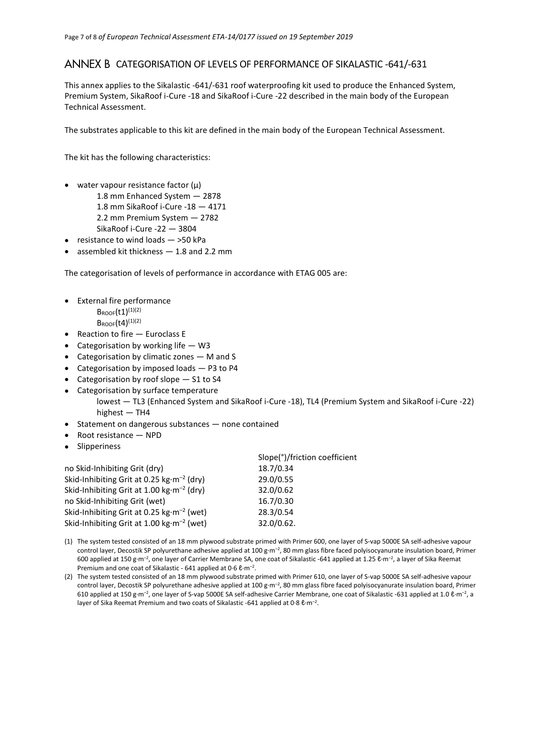# ANNEX B CATEGORISATION OF LEVELS OF PERFORMANCE OF SIKALASTIC -641/-631

This annex applies to the Sikalastic -641/-631 roof waterproofing kit used to produce the Enhanced System, Premium System, SikaRoof i-Cure -18 and SikaRoof i-Cure -22 described in the main body of the European Technical Assessment.

The substrates applicable to this kit are defined in the main body of the European Technical Assessment.

The kit has the following characteristics:

- water vapour resistance factor  $(\mu)$ 
	- 1.8 mm Enhanced System 2878
	- 1.8 mm SikaRoof i-Cure -18 4171
	- 2.2 mm Premium System 2782
	- SikaRoof i-Cure -22 3804
- resistance to wind loads >50 kPa
- assembled kit thickness 1.8 and 2.2 mm

The categorisation of levels of performance in accordance with ETAG 005 are:

- External fire performance
	- $B_{ROOF}(t1)^{(1)(2)}$
	- $B_{ROOF}(t4)^{(1)(2)}$
- Reaction to fire Euroclass E
- Categorisation by working life W3
- Categorisation by climatic zones M and S
- Categorisation by imposed loads P3 to P4
- Categorisation by roof slope S1 to S4
- Categorisation by surface temperature lowest — TL3 (Enhanced System and SikaRoof i-Cure -18), TL4 (Premium System and SikaRoof i-Cure -22) highest — TH4
- Statement on dangerous substances none contained
- Root resistance NPD
- Slipperiness

| Slope(°)/friction coefficient |
|-------------------------------|
| 18.7/0.34                     |
| 29.0/0.55                     |
| 32.0/0.62                     |
| 16.7/0.30                     |
| 28.3/0.54                     |
| 32.0/0.62.                    |
|                               |

- (1) The system tested consisted of an 18 mm plywood substrate primed with Primer 600, one layer of S-vap 5000E SA self-adhesive vapour control layer, Decostik SP polyurethane adhesive applied at 100 g·m<sup>-2</sup>, 80 mm glass fibre faced polyisocyanurate insulation board, Primer 600 applied at 150 g·m<sup>-2</sup>, one layer of Carrier Membrane SA, one coat of Sikalastic -641 applied at 1.25 ℓ·m<sup>-2</sup>, a layer of Sika Reemat Premium and one coat of Sikalastic - 641 applied at 0.6 & m<sup>-2</sup>.
- (2) The system tested consisted of an 18 mm plywood substrate primed with Primer 610, one layer of S-vap 5000E SA self-adhesive vapour control layer, Decostik SP polyurethane adhesive applied at 100 g·m<sup>-2</sup>, 80 mm glass fibre faced polyisocyanurate insulation board, Primer 610 applied at 150 g·m<sup>-2</sup>, one layer of S-vap 5000E SA self-adhesive Carrier Membrane, one coat of Sikalastic -631 applied at 1.0 ℓ·m<sup>-2</sup>, a layer of Sika Reemat Premium and two coats of Sikalastic -641 applied at 0.8 &m<sup>-2</sup>.